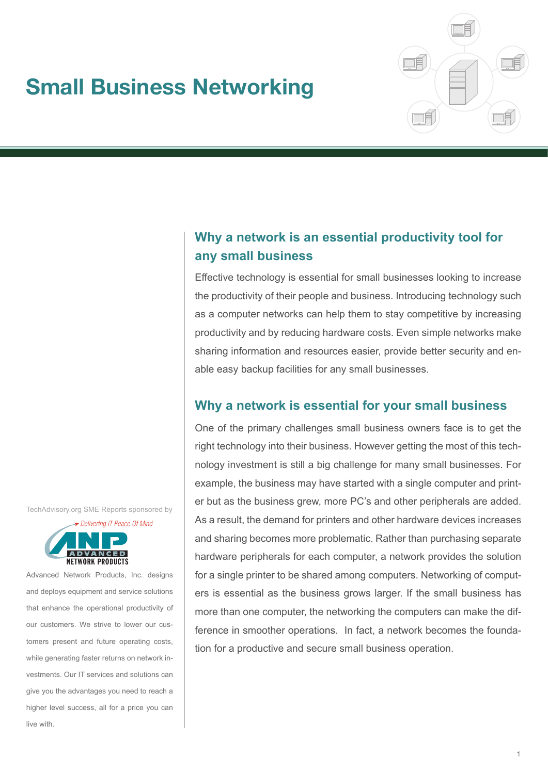# **Small Business Networking**



# **Why a network is an essential productivity tool for any small business**

Effective technology is essential for small businesses looking to increase the productivity of their people and business. Introducing technology such as a computer networks can help them to stay competitive by increasing productivity and by reducing hardware costs. Even simple networks make sharing information and resources easier, provide better security and enable easy backup facilities for any small businesses.

# **Why a network is essential for your small business**

One of the primary challenges small business owners face is to get the right technology into their business. However getting the most of this technology investment is still a big challenge for many small businesses. For example, the business may have started with a single computer and printer but as the business grew, more PC's and other peripherals are added. As a result, the demand for printers and other hardware devices increases and sharing becomes more problematic. Rather than purchasing separate hardware peripherals for each computer, a network provides the solution for a single printer to be shared among computers. Networking of computers is essential as the business grows larger. If the small business has more than one computer, the networking the computers can make the difference in smoother operations. In fact, a network becomes the foundation for a productive and secure small business operation.

TechAdvisory.org SME Reports sponsored by



Advanced Network Products, Inc. designs and deploys equipment and service solutions that enhance the operational productivity of our customers. We strive to lower our customers present and future operating costs, while generating faster returns on network investments. Our IT services and solutions can give you the advantages you need to reach a higher level success, all for a price you can live with.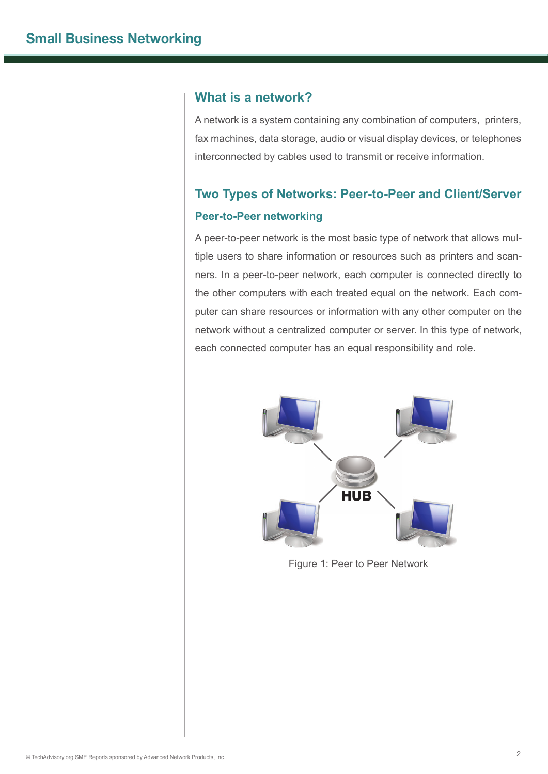# **What is a network?**

A network is a system containing any combination of computers, printers, fax machines, data storage, audio or visual display devices, or telephones interconnected by cables used to transmit or receive information.

# **Two Types of Networks: Peer-to-Peer and Client/Server Peer-to-Peer networking**

A peer-to-peer network is the most basic type of network that allows multiple users to share information or resources such as printers and scanners. In a peer-to-peer network, each computer is connected directly to the other computers with each treated equal on the network. Each computer can share resources or information with any other computer on the network without a centralized computer or server. In this type of network, each connected computer has an equal responsibility and role.



Figure 1: Peer to Peer Network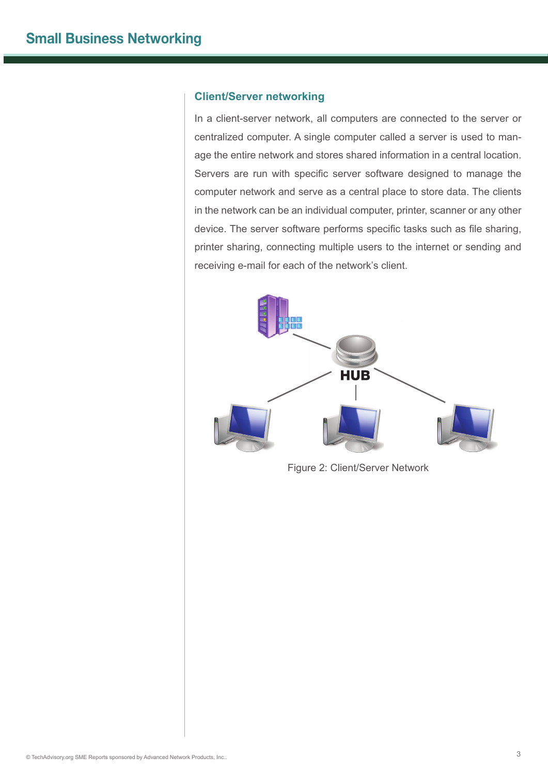#### **Client/Server networking**

In a client-server network, all computers are connected to the server or centralized computer. A single computer called a server is used to manage the entire network and stores shared information in a central location. Servers are run with specific server software designed to manage the computer network and serve as a central place to store data. The clients in the network can be an individual computer, printer, scanner or any other device. The server software performs specific tasks such as file sharing, printer sharing, connecting multiple users to the internet or sending and receiving e-mail for each of the network's client.



Figure 2: Client/Server Network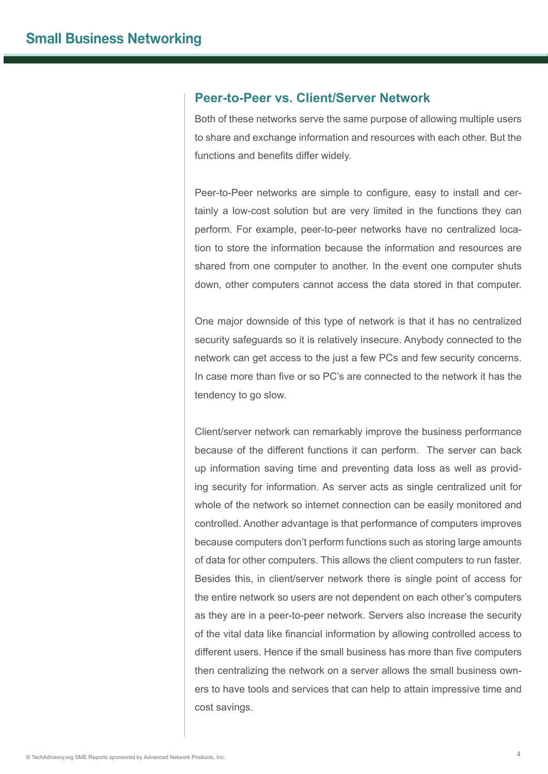### **Peer-to-Peer vs. Client/Server Network**

Both of these networks serve the same purpose of allowing multiple users to share and exchange information and resources with each other. But the functions and benefits differ widely.

Peer-to-Peer networks are simple to configure, easy to install and certainly a low-cost solution but are very limited in the functions they can perform. For example, peer-to-peer networks have no centralized location to store the information because the information and resources are shared from one computer to another. In the event one computer shuts down, other computers cannot access the data stored in that computer.

One major downside of this type of network is that it has no centralized security safeguards so it is relatively insecure. Anybody connected to the network can get access to the just a few PCs and few security concerns. In case more than five or so PC's are connected to the network it has the tendency to go slow.

Client/server network can remarkably improve the business performance because of the different functions it can perform. The server can back up information saving time and preventing data loss as well as providing security for information. As server acts as single centralized unit for whole of the network so internet connection can be easily monitored and controlled. Another advantage is that performance of computers improves because computers don't perform functions such as storing large amounts of data for other computers. This allows the client computers to run faster. Besides this, in client/server network there is single point of access for the entire network so users are not dependent on each other's computers as they are in a peer-to-peer network. Servers also increase the security of the vital data like financial information by allowing controlled access to different users. Hence if the small business has more than five computers then centralizing the network on a server allows the small business owners to have tools and services that can help to attain impressive time and cost savings.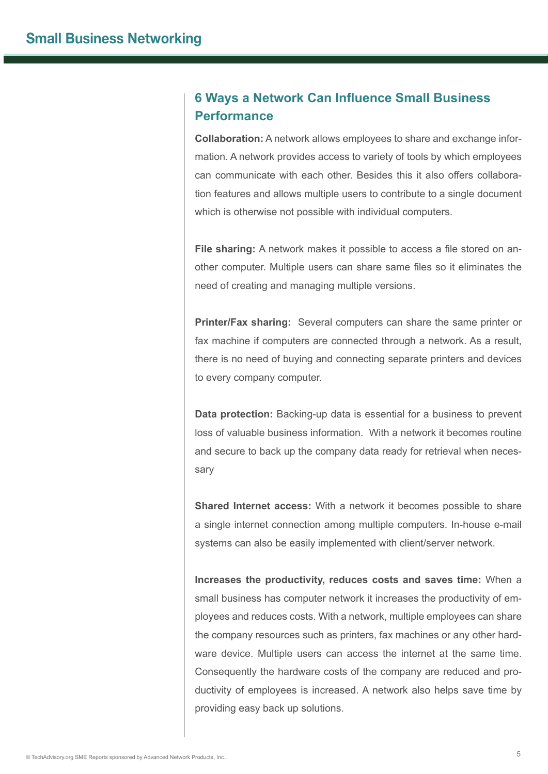# **6 Ways a Network Can Influence Small Business Performance**

**Collaboration:** A network allows employees to share and exchange information. A network provides access to variety of tools by which employees can communicate with each other. Besides this it also offers collaboration features and allows multiple users to contribute to a single document which is otherwise not possible with individual computers.

**File sharing:** A network makes it possible to access a file stored on another computer. Multiple users can share same files so it eliminates the need of creating and managing multiple versions.

**Printer/Fax sharing:** Several computers can share the same printer or fax machine if computers are connected through a network. As a result, there is no need of buying and connecting separate printers and devices to every company computer.

**Data protection:** Backing-up data is essential for a business to prevent loss of valuable business information. With a network it becomes routine and secure to back up the company data ready for retrieval when necessary

**Shared Internet access:** With a network it becomes possible to share a single internet connection among multiple computers. In-house e-mail systems can also be easily implemented with client/server network.

**Increases the productivity, reduces costs and saves time:** When a small business has computer network it increases the productivity of employees and reduces costs. With a network, multiple employees can share the company resources such as printers, fax machines or any other hardware device. Multiple users can access the internet at the same time. Consequently the hardware costs of the company are reduced and productivity of employees is increased. A network also helps save time by providing easy back up solutions.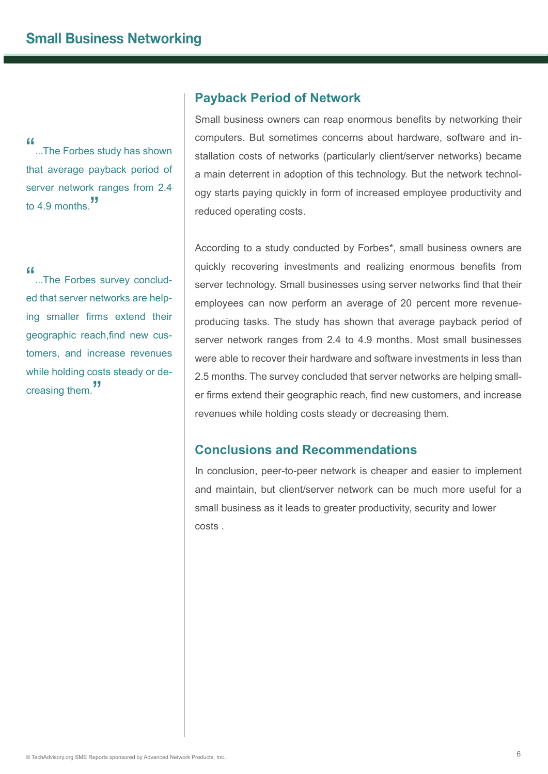"...The Forbes study has shown" that average payback period of server network ranges from 2.4 to 4.9 months."

"...The Forbes survey concluded that server networks are helping smaller firms extend their geographic reach,find new customers, and increase revenues while holding costs steady or decreasing them."

## **Payback Period of Network**

Small business owners can reap enormous benefits by networking their computers. But sometimes concerns about hardware, software and installation costs of networks (particularly client/server networks) became a main deterrent in adoption of this technology. But the network technology starts paying quickly in form of increased employee productivity and reduced operating costs.

According to a study conducted by Forbes\*, small business owners are quickly recovering investments and realizing enormous benefits from server technology. Small businesses using server networks find that their employees can now perform an average of 20 percent more revenueproducing tasks. The study has shown that average payback period of server network ranges from 2.4 to 4.9 months. Most small businesses were able to recover their hardware and software investments in less than 2.5 months. The survey concluded that server networks are helping smaller firms extend their geographic reach, find new customers, and increase revenues while holding costs steady or decreasing them.

# **Conclusions and Recommendations**

In conclusion, peer-to-peer network is cheaper and easier to implement and maintain, but client/server network can be much more useful for a small business as it leads to greater productivity, security and lower costs .